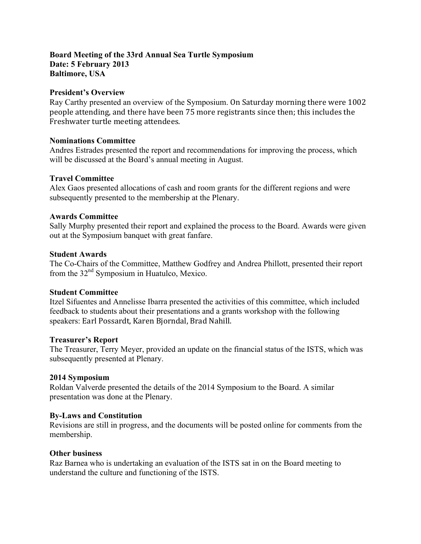#### **Board Meeting of the 33rd Annual Sea Turtle Symposium Date: 5 February 2013 Baltimore, USA**

#### **President's Overview**

Ray Carthy presented an overview of the Symposium. On Saturday morning there were 1002 people attending, and there have been 75 more registrants since then; this includes the Freshwater turtle meeting attendees.

### **Nominations Committee**

Andres Estrades presented the report and recommendations for improving the process, which will be discussed at the Board's annual meeting in August.

# **Travel Committee**

Alex Gaos presented allocations of cash and room grants for the different regions and were subsequently presented to the membership at the Plenary.

### **Awards Committee**

Sally Murphy presented their report and explained the process to the Board. Awards were given out at the Symposium banquet with great fanfare.

### **Student Awards**

The Co-Chairs of the Committee, Matthew Godfrey and Andrea Phillott, presented their report from the 32<sup>nd</sup> Symposium in Huatulco, Mexico.

# **Student Committee**

Itzel Sifuentes and Annelisse Ibarra presented the activities of this committee, which included feedback to students about their presentations and a grants workshop with the following speakers: Earl Possardt, Karen Bjorndal, Brad Nahill.

#### **Treasurer's Report**

The Treasurer, Terry Meyer, provided an update on the financial status of the ISTS, which was subsequently presented at Plenary.

# **2014 Symposium**

Roldan Valverde presented the details of the 2014 Symposium to the Board. A similar presentation was done at the Plenary.

# **By-Laws and Constitution**

Revisions are still in progress, and the documents will be posted online for comments from the membership.

#### **Other business**

Raz Barnea who is undertaking an evaluation of the ISTS sat in on the Board meeting to understand the culture and functioning of the ISTS.